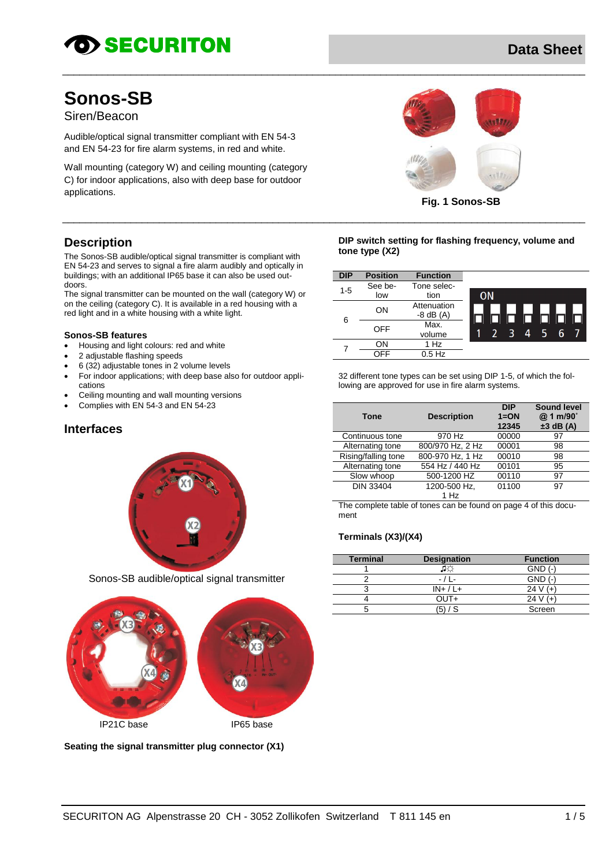# **OD SECURITON**

# **Data Sheet**

# **Sonos-SB**

Siren/Beacon

Audible/optical signal transmitter compliant with EN 54-3 and EN 54-23 for fire alarm systems, in red and white.

Wall mounting (category W) and ceiling mounting (category C) for indoor applications, also with deep base for outdoor applications.



**Fig. 1 Sonos-SB**

## **Description**

The Sonos-SB audible/optical signal transmitter is compliant with EN 54-23 and serves to signal a fire alarm audibly and optically in buildings; with an additional IP65 base it can also be used outdoors.

The signal transmitter can be mounted on the wall (category W) or on the ceiling (category C). It is available in a red housing with a red light and in a white housing with a white light.

#### **Sonos-SB features**

- Housing and light colours: red and white
- 2 adjustable flashing speeds
- 6 (32) adjustable tones in 2 volume levels
- For indoor applications; with deep base also for outdoor applications
- Ceiling mounting and wall mounting versions
- Complies with EN 54-3 and EN 54-23

#### **Interfaces**



Sonos-SB audible/optical signal transmitter



**Seating the signal transmitter plug connector (X1)**

**DIP switch setting for flashing frequency, volume and tone type (X2)**

| <b>DIP</b> | <b>Position</b> | <b>Function</b>              |                              |
|------------|-----------------|------------------------------|------------------------------|
| $1 - 5$    | See be-         | Tone selec-                  |                              |
|            | low             | tion                         | <b>ON</b>                    |
| 6          | OΝ              | Attenuation<br>$-8$ dB $(A)$ | ſП<br>- In                   |
|            | OFF             | Max.<br>volume               | 5.<br>ె<br>6<br>$\mathbf{A}$ |
|            | OΝ              | 1 Hz                         |                              |
|            | OFF             | $0.5$ Hz                     |                              |

32 different tone types can be set using DIP 1-5, of which the fol-

lowing are approved for use in fire alarm systems.

|                     |                    | <b>DIP</b> | <b>Sound level</b> |
|---------------------|--------------------|------------|--------------------|
| <b>Tone</b>         | <b>Description</b> | $1=ON$     | @ 1 m/90°          |
|                     |                    | 12345      | $±3$ dB (A)        |
| Continuous tone     | 970 Hz             | 00000      | 97                 |
| Alternating tone    | 800/970 Hz, 2 Hz   | 00001      | 98                 |
| Rising/falling tone | 800-970 Hz, 1 Hz   | 00010      | 98                 |
| Alternating tone    | 554 Hz / 440 Hz    | 00101      | 95                 |
| Slow whoop          | 500-1200 HZ        | 00110      | 97                 |
| <b>DIN 33404</b>    | 1200-500 Hz,       | 01100      | 97                 |
|                     | 1 Hz               |            |                    |

The complete table of tones can be found on page 4 of this document

#### **Terminals (X3)/(X4)**

 $\_$  ,  $\_$  ,  $\_$  ,  $\_$  ,  $\_$  ,  $\_$  ,  $\_$  ,  $\_$  ,  $\_$  ,  $\_$  ,  $\_$  ,  $\_$  ,  $\_$  ,  $\_$  ,  $\_$  ,  $\_$  ,  $\_$  ,  $\_$  ,  $\_$  ,  $\_$  ,  $\_$  ,  $\_$  ,  $\_$  ,  $\_$  ,  $\_$  ,  $\_$  ,  $\_$  ,  $\_$  ,  $\_$  ,  $\_$  ,  $\_$  ,  $\_$  ,  $\_$  ,  $\_$  ,  $\_$  ,  $\_$  ,  $\_$  ,

 $\_$  ,  $\_$  ,  $\_$  ,  $\_$  ,  $\_$  ,  $\_$  ,  $\_$  ,  $\_$  ,  $\_$  ,  $\_$  ,  $\_$  ,  $\_$  ,  $\_$  ,  $\_$  ,  $\_$  ,  $\_$  ,  $\_$  ,  $\_$  ,  $\_$  ,  $\_$  ,  $\_$  ,  $\_$  ,  $\_$  ,  $\_$  ,  $\_$  ,  $\_$  ,  $\_$  ,  $\_$  ,  $\_$  ,  $\_$  ,  $\_$  ,  $\_$  ,  $\_$  ,  $\_$  ,  $\_$  ,  $\_$  ,  $\_$  ,

| <b>Terminal</b> | <b>Designation</b> | <b>Function</b> |
|-----------------|--------------------|-----------------|
|                 | $1 +$<br>نكاله     | $GND$ (-        |
|                 | $-11-$             | $GND$ $($       |
|                 | $IN+ / L+$         | 24 V            |
|                 | OUT+               | 24 V            |
|                 |                    | Screen          |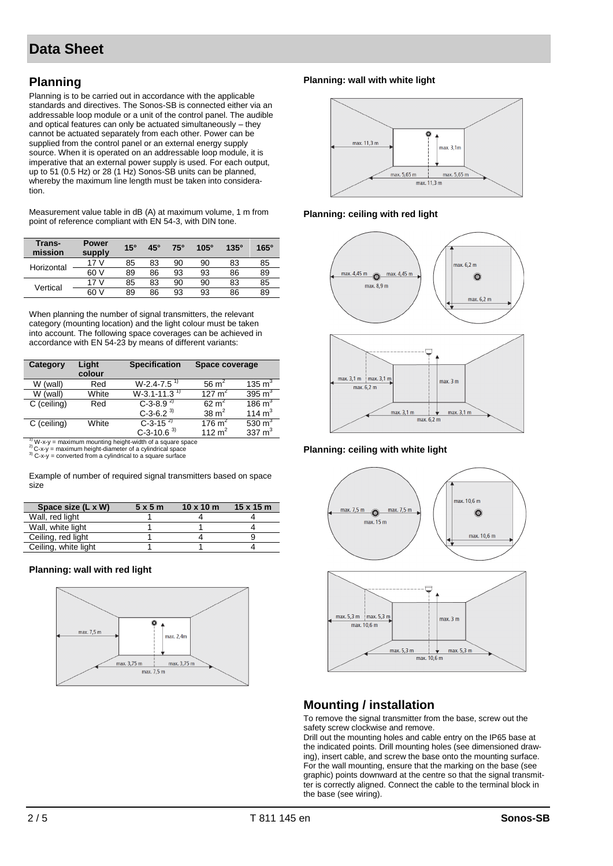# **Planning**

Planning is to be carried out in accordance with the applicable standards and directives. The Sonos-SB is connected either via an addressable loop module or a unit of the control panel. The audible and optical features can only be actuated simultaneously – they cannot be actuated separately from each other. Power can be supplied from the control panel or an external energy supply source. When it is operated on an addressable loop module, it is imperative that an external power supply is used. For each output, up to 51 (0.5 Hz) or 28 (1 Hz) Sonos-SB units can be planned, whereby the maximum line length must be taken into consideration.

Measurement value table in dB (A) at maximum volume, 1 m from point of reference compliant with EN 54-3, with DIN tone.

| Trans-<br>mission | <b>Power</b><br>supply | $15^\circ$ | $45^\circ$ | $75^\circ$ | $105^\circ$ | $135^\circ$ | $165^\circ$ |
|-------------------|------------------------|------------|------------|------------|-------------|-------------|-------------|
| Horizontal        | 17 <sub>V</sub>        | 85         | 83         | 90         | 90          | 83          | 85          |
|                   | 60 V                   | 89         | 86         | 93         | 93          | 86          | 89          |
|                   | 17 <sub>V</sub>        | 85         | 83         | 90         | 90          | 83          | 85          |
| Vertical          | 60 V                   | 89         | 86         | 93         | 93          | 86          | 89          |

When planning the number of signal transmitters, the relevant category (mounting location) and the light colour must be taken into account. The following space coverages can be achieved in accordance with EN 54-23 by means of different variants:

| Category    | Light<br>colour | <b>Specification</b>         | Space coverage   |                      |
|-------------|-----------------|------------------------------|------------------|----------------------|
| W (wall)    | Red             | $W-2.4-7.5$ <sup>1)</sup>    | 56 $m2$          | 135 $m3$             |
| W (wall)    | White           | $W-3.1 - 11.3$ <sup>1)</sup> | 127 $m2$         | 395 $m3$             |
| C (ceiling) | Red             | $C-3-8.9^{2}$                | $62 \text{ m}^2$ | $186 \,\mathrm{m}^3$ |
|             |                 | $C-3-6.2^{3}$                | 38 $m2$          | 114 $m3$             |
| C (ceiling) | White           | $C-3-15^{2}$                 | 176 $m2$         | 530 $m3$             |
|             |                 | $C-3-10.6^{3}$               | 112 $m2$         | 337 $m3$             |

 $\frac{1}{2}$  W-x-y = maximum mounting height-width of a square space

<sup>2)</sup> C-x-y = maximum height-diameter of a cylindrical space<br><sup>3)</sup> C-x-y = converted from a cylindrical to a square surface

Example of number of required signal transmitters based on space size

| Space size (L x W)   | 5x5m | $10 \times 10 \text{ m}$ | $15 \times 15$ m |
|----------------------|------|--------------------------|------------------|
| Wall, red light      |      |                          |                  |
| Wall, white light    |      |                          |                  |
| Ceiling, red light   |      |                          |                  |
| Ceiling, white light |      |                          |                  |

#### **Planning: wall with red light**



#### **Planning: wall with white light**



#### **Planning: ceiling with red light**





#### **Planning: ceiling with white light**



## **Mounting / installation**

To remove the signal transmitter from the base, screw out the safety screw clockwise and remove.

Drill out the mounting holes and cable entry on the IP65 base at the indicated points. Drill mounting holes (see dimensioned drawing), insert cable, and screw the base onto the mounting surface. For the wall mounting, ensure that the marking on the base (see graphic) points downward at the centre so that the signal transmitter is correctly aligned. Connect the cable to the terminal block in the base (see wiring).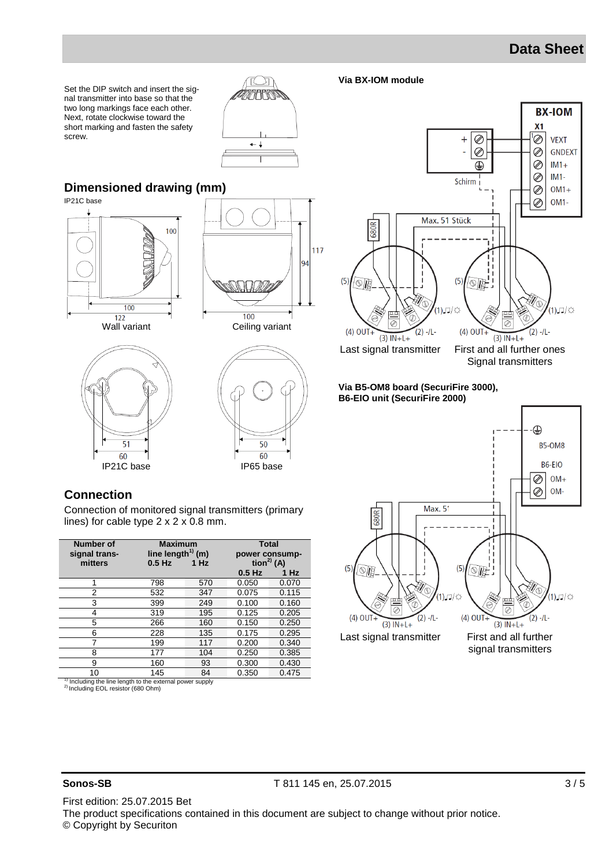# **Data Sheet**

**BX-IOM** 

 $X<sub>1</sub>$ 

Set the DIP switch and insert the signal transmitter into base so that the two long markings face each other. Next, rotate clockwise toward the short marking and fasten the safety screw.



### **Dimensioned drawing (mm)**

IP21C base











Signal transmitters

**Via B5-OM8 board (SecuriFire 3000), B6-EIO unit (SecuriFire 2000)**

**Via BX-IOM module**



#### **Connection**

Connection of monitored signal transmitters (primary lines) for cable type 2 x 2 x 0.8 mm.

| <b>Number of</b><br>signal trans-<br>mitters | $0.5$ Hz | <b>Maximum</b><br>line length <sup>1)</sup> (m)<br>$1$ Hz |          | <b>Total</b><br>power consump-<br>tion $^{2)}$ (A) |  |  |
|----------------------------------------------|----------|-----------------------------------------------------------|----------|----------------------------------------------------|--|--|
|                                              |          |                                                           | $0.5$ Hz | $1$ Hz                                             |  |  |
| 1                                            | 798      | 570                                                       | 0.050    | 0.070                                              |  |  |
| 2                                            | 532      | 347                                                       | 0.075    | 0.115                                              |  |  |
| 3                                            | 399      | 249                                                       | 0.100    | 0.160                                              |  |  |
| 4                                            | 319      | 195                                                       | 0.125    | 0.205                                              |  |  |
| 5                                            | 266      | 160                                                       | 0.150    | 0.250                                              |  |  |
| 6                                            | 228      | 135                                                       | 0.175    | 0.295                                              |  |  |
| 7                                            | 199      | 117                                                       | 0.200    | 0.340                                              |  |  |
| 8                                            | 177      | 104                                                       | 0.250    | 0.385                                              |  |  |
| 9                                            | 160      | 93                                                        | 0.300    | 0.430                                              |  |  |
| 10                                           | 145      | 84                                                        | 0.350    | 0.475                                              |  |  |
|                                              |          |                                                           |          |                                                    |  |  |

<sup>1)</sup> Including the line length to the external power supply  $P^2$  Including EOL resistor (680 Ohm)

**Sonos-SB** T 811 145 en, 25.07.2015 3/5

First edition: 25.07.2015 Bet The product specifications contained in this document are subject to change without prior notice. © Copyright by Securiton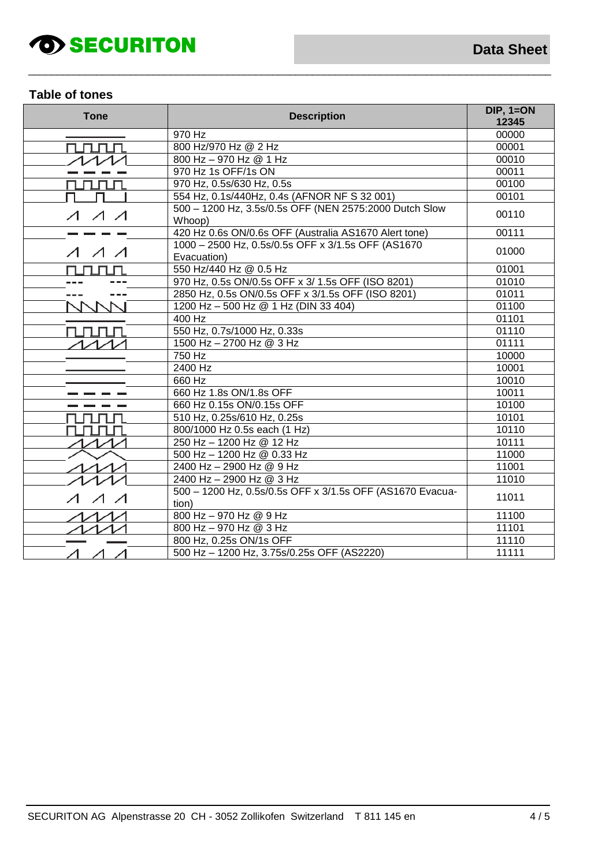# *SECURITON*

### **Table of tones**

| <b>Tone</b>                   | <b>Description</b>                                                 | $DIP, 1=ON$<br>12345 |
|-------------------------------|--------------------------------------------------------------------|----------------------|
|                               | 970 Hz                                                             | 00000                |
| runun                         | 800 Hz/970 Hz @ 2 Hz                                               | 00001                |
|                               | 800 Hz - 970 Hz @ 1 Hz                                             | 00010                |
|                               | 970 Hz 1s OFF/1s ON                                                | 00011                |
|                               | 970 Hz, 0.5s/630 Hz, 0.5s                                          | 00100                |
|                               | 554 Hz, 0.1s/440Hz, 0.4s (AFNOR NF S 32 001)                       | 00101                |
| $\Lambda$ $\Lambda$           | 500 - 1200 Hz, 3.5s/0.5s OFF (NEN 2575:2000 Dutch Slow<br>Whoop)   | 00110                |
|                               | 420 Hz 0.6s ON/0.6s OFF (Australia AS1670 Alert tone)              | 00111                |
| $\Lambda$ $\Lambda$ $\Lambda$ | 1000 - 2500 Hz, 0.5s/0.5s OFF x 3/1.5s OFF (AS1670)<br>Evacuation) | 01000                |
|                               | 550 Hz/440 Hz @ 0.5 Hz                                             | 01001                |
|                               | 970 Hz, 0.5s ON/0.5s OFF x 3/ 1.5s OFF (ISO 8201)                  | 01010                |
|                               | 2850 Hz, 0.5s ON/0.5s OFF x 3/1.5s OFF (ISO 8201)                  | 01011                |
|                               | 1200 Hz - 500 Hz @ 1 Hz (DIN 33 404)                               | 01100                |
|                               | 400 Hz                                                             | 01101                |
| ПП                            | 550 Hz, 0.7s/1000 Hz, 0.33s                                        | 01110                |
|                               | 1500 Hz - 2700 Hz @ 3 Hz                                           | 01111                |
|                               | 750 Hz                                                             | 10000                |
|                               | 2400 Hz                                                            | 10001                |
|                               | 660 Hz                                                             | 10010                |
|                               | 660 Hz 1.8s ON/1.8s OFF                                            | 10011                |
|                               | 660 Hz 0.15s ON/0.15s OFF                                          | 10100                |
|                               | 510 Hz, 0.25s/610 Hz, 0.25s                                        | 10101                |
|                               | 800/1000 Hz 0.5s each (1 Hz)                                       | 10110                |
|                               | 250 Hz - 1200 Hz @ 12 Hz                                           | 10111                |
|                               | 500 Hz - 1200 Hz @ 0.33 Hz                                         | 11000                |
|                               | 2400 Hz - 2900 Hz @ 9 Hz                                           | 11001                |
|                               | 2400 Hz - 2900 Hz @ 3 Hz                                           | 11010                |
|                               | 500 - 1200 Hz, 0.5s/0.5s OFF x 3/1.5s OFF (AS1670 Evacua-<br>tion) | 11011                |
|                               | 800 Hz - 970 Hz @ 9 Hz                                             | 11100                |
|                               | 800 Hz - 970 Hz @ 3 Hz                                             | 11101                |
|                               | 800 Hz, 0.25s ON/1s OFF                                            | 11110                |
|                               | 500 Hz - 1200 Hz, 3.75s/0.25s OFF (AS2220)                         | 11111                |

 $\_$  ,  $\_$  ,  $\_$  ,  $\_$  ,  $\_$  ,  $\_$  ,  $\_$  ,  $\_$  ,  $\_$  ,  $\_$  ,  $\_$  ,  $\_$  ,  $\_$  ,  $\_$  ,  $\_$  ,  $\_$  ,  $\_$  ,  $\_$  ,  $\_$  ,  $\_$  ,  $\_$  ,  $\_$  ,  $\_$  ,  $\_$  ,  $\_$  ,  $\_$  ,  $\_$  ,  $\_$  ,  $\_$  ,  $\_$  ,  $\_$  ,  $\_$  ,  $\_$  ,  $\_$  ,  $\_$  ,  $\_$  ,  $\_$  ,